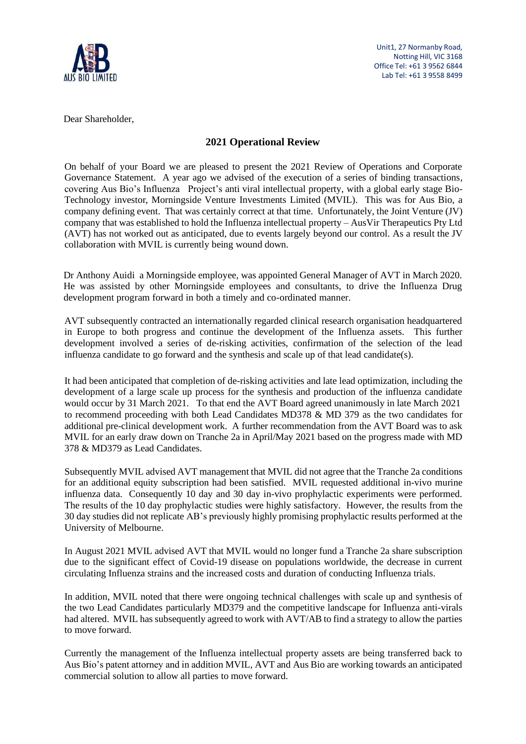

Unit1, 27 Normanby Road, Notting Hill, VIC 3168 Office Tel: +61 3 9562 6844 Lab Tel: +61 3 9558 8499

Dear Shareholder,

### **2021 Operational Review**

On behalf of your Board we are pleased to present the 2021 Review of Operations and Corporate Governance Statement. A year ago we advised of the execution of a series of binding transactions, covering Aus Bio's Influenza Project's anti viral intellectual property, with a global early stage Bio-Technology investor, Morningside Venture Investments Limited (MVIL). This was for Aus Bio, a company defining event. That was certainly correct at that time. Unfortunately, the Joint Venture (JV) company that was established to hold the Influenza intellectual property – AusVir Therapeutics Pty Ltd (AVT) has not worked out as anticipated, due to events largely beyond our control. As a result the JV collaboration with MVIL is currently being wound down.

Dr Anthony Auidi a Morningside employee, was appointed General Manager of AVT in March 2020. He was assisted by other Morningside employees and consultants, to drive the Influenza Drug development program forward in both a timely and co-ordinated manner.

AVT subsequently contracted an internationally regarded clinical research organisation headquartered in Europe to both progress and continue the development of the Influenza assets. This further development involved a series of de-risking activities, confirmation of the selection of the lead influenza candidate to go forward and the synthesis and scale up of that lead candidate(s).

It had been anticipated that completion of de-risking activities and late lead optimization, including the development of a large scale up process for the synthesis and production of the influenza candidate would occur by 31 March 2021. To that end the AVT Board agreed unanimously in late March 2021 to recommend proceeding with both Lead Candidates MD378 & MD 379 as the two candidates for additional pre-clinical development work. A further recommendation from the AVT Board was to ask MVIL for an early draw down on Tranche 2a in April/May 2021 based on the progress made with MD 378 & MD379 as Lead Candidates.

Subsequently MVIL advised AVT management that MVIL did not agree that the Tranche 2a conditions for an additional equity subscription had been satisfied. MVIL requested additional in-vivo murine influenza data. Consequently 10 day and 30 day in-vivo prophylactic experiments were performed. The results of the 10 day prophylactic studies were highly satisfactory. However, the results from the 30 day studies did not replicate AB's previously highly promising prophylactic results performed at the University of Melbourne.

In August 2021 MVIL advised AVT that MVIL would no longer fund a Tranche 2a share subscription due to the significant effect of Covid-19 disease on populations worldwide, the decrease in current circulating Influenza strains and the increased costs and duration of conducting Influenza trials.

In addition, MVIL noted that there were ongoing technical challenges with scale up and synthesis of the two Lead Candidates particularly MD379 and the competitive landscape for Influenza anti-virals had altered. MVIL has subsequently agreed to work with AVT/AB to find a strategy to allow the parties to move forward.

Currently the management of the Influenza intellectual property assets are being transferred back to Aus Bio's patent attorney and in addition MVIL, AVT and Aus Bio are working towards an anticipated commercial solution to allow all parties to move forward.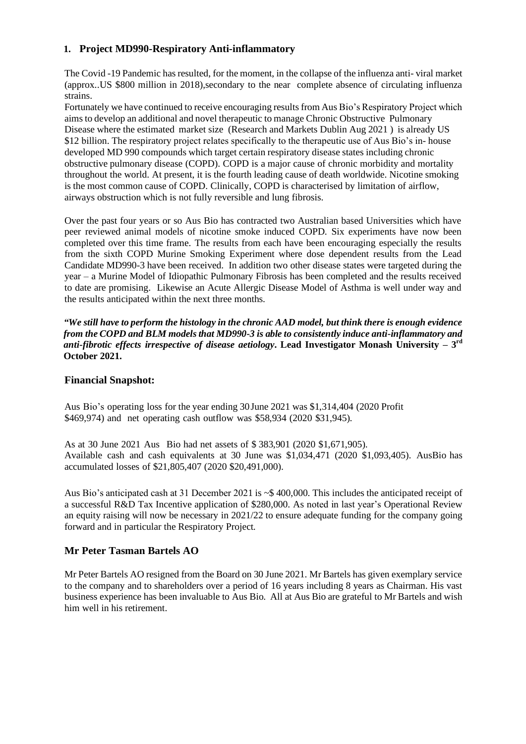### **1. Project MD990-Respiratory Anti-inflammatory**

The Covid -19 Pandemic has resulted, for the moment, in the collapse of the influenza anti- viral market (approx..US \$800 million in 2018),secondary to the near complete absence of circulating influenza strains.

Fortunately we have continued to receive encouraging results from Aus Bio's Respiratory Project which aims to develop an additional and novel therapeutic to manage Chronic Obstructive Pulmonary Disease where the estimated market size (Research and Markets Dublin Aug 2021 ) is already US \$12 billion. The respiratory project relates specifically to the therapeutic use of Aus Bio's in- house developed MD 990 compounds which target certain respiratory disease states including chronic obstructive pulmonary disease (COPD). COPD is a major cause of chronic morbidity and mortality throughout the world. At present, it is the fourth leading cause of death worldwide. Nicotine smoking is the most common cause of COPD. Clinically, COPD is characterised by limitation of airflow, airways obstruction which is not fully reversible and lung fibrosis.

Over the past four years or so Aus Bio has contracted two Australian based Universities which have peer reviewed animal models of nicotine smoke induced COPD. Six experiments have now been completed over this time frame. The results from each have been encouraging especially the results from the sixth COPD Murine Smoking Experiment where dose dependent results from the Lead Candidate MD990-3 have been received. In addition two other disease states were targeted during the year – a Murine Model of Idiopathic Pulmonary Fibrosis has been completed and the results received to date are promising. Likewise an Acute Allergic Disease Model of Asthma is well under way and the results anticipated within the next three months.

*"We still have to perform the histology in the chronic AAD model, but think there is enough evidence from the COPD and BLM models that MD990-3 is able to consistently induce anti-inflammatory and anti-fibrotic effects irrespective of disease aetiology***. Lead Investigator Monash University – 3 rd October 2021.** 

### **Financial Snapshot:**

Aus Bio's operating loss for the year ending 30 June 2021 was \$1,314,404 (2020 Profit \$469,974) and net operating cash outflow was \$58,934 (2020 \$31,945).

As at 30 June 2021 Aus Bio had net assets of \$ 383,901 (2020 \$1,671,905). Available cash and cash equivalents at 30 June was \$1,034,471 (2020 \$1,093,405). AusBio has accumulated losses of \$21,805,407 (2020 \$20,491,000).

Aus Bio's anticipated cash at 31 December 2021 is ~\$ 400,000. This includes the anticipated receipt of a successful R&D Tax Incentive application of \$280,000. As noted in last year's Operational Review an equity raising will now be necessary in 2021/22 to ensure adequate funding for the company going forward and in particular the Respiratory Project.

## **Mr Peter Tasman Bartels AO**

Mr Peter Bartels AO resigned from the Board on 30 June 2021. Mr Bartels has given exemplary service to the company and to shareholders over a period of 16 years including 8 years as Chairman. His vast business experience has been invaluable to Aus Bio. All at Aus Bio are grateful to Mr Bartels and wish him well in his retirement.